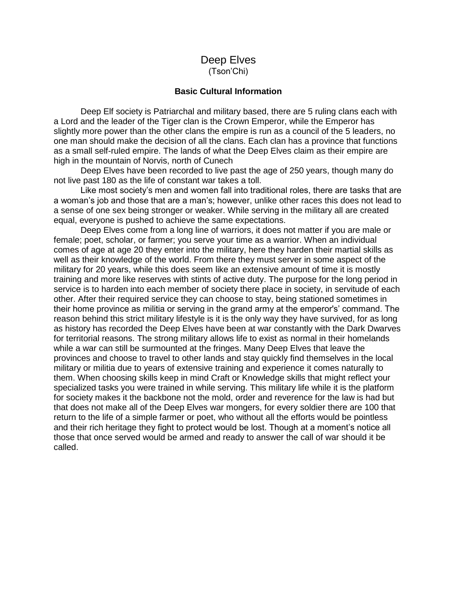# Deep Elves (Tson'Chi)

### **Basic Cultural Information**

Deep Elf society is Patriarchal and military based, there are 5 ruling clans each with a Lord and the leader of the Tiger clan is the Crown Emperor, while the Emperor has slightly more power than the other clans the empire is run as a council of the 5 leaders, no one man should make the decision of all the clans. Each clan has a province that functions as a small self-ruled empire. The lands of what the Deep Elves claim as their empire are high in the mountain of Norvis, north of Cunech

Deep Elves have been recorded to live past the age of 250 years, though many do not live past 180 as the life of constant war takes a toll.

Like most society's men and women fall into traditional roles, there are tasks that are a woman's job and those that are a man's; however, unlike other races this does not lead to a sense of one sex being stronger or weaker. While serving in the military all are created equal, everyone is pushed to achieve the same expectations.

Deep Elves come from a long line of warriors, it does not matter if you are male or female; poet, scholar, or farmer; you serve your time as a warrior. When an individual comes of age at age 20 they enter into the military, here they harden their martial skills as well as their knowledge of the world. From there they must server in some aspect of the military for 20 years, while this does seem like an extensive amount of time it is mostly training and more like reserves with stints of active duty. The purpose for the long period in service is to harden into each member of society there place in society, in servitude of each other. After their required service they can choose to stay, being stationed sometimes in their home province as militia or serving in the grand army at the emperor's' command. The reason behind this strict military lifestyle is it is the only way they have survived, for as long as history has recorded the Deep Elves have been at war constantly with the Dark Dwarves for territorial reasons. The strong military allows life to exist as normal in their homelands while a war can still be surmounted at the fringes. Many Deep Elves that leave the provinces and choose to travel to other lands and stay quickly find themselves in the local military or militia due to years of extensive training and experience it comes naturally to them. When choosing skills keep in mind Craft or Knowledge skills that might reflect your specialized tasks you were trained in while serving. This military life while it is the platform for society makes it the backbone not the mold, order and reverence for the law is had but that does not make all of the Deep Elves war mongers, for every soldier there are 100 that return to the life of a simple farmer or poet, who without all the efforts would be pointless and their rich heritage they fight to protect would be lost. Though at a moment's notice all those that once served would be armed and ready to answer the call of war should it be called.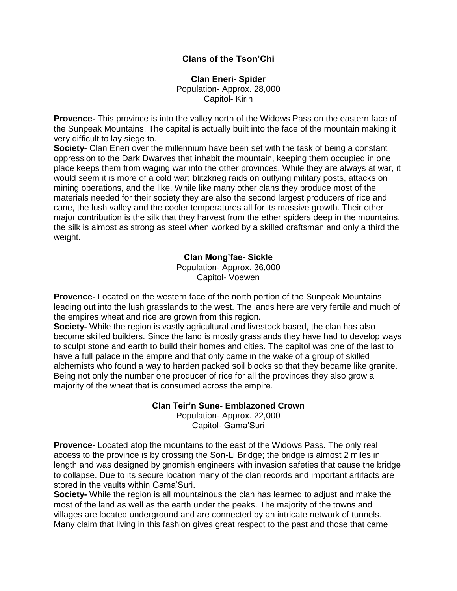## **Clans of the Tson'Chi**

**Clan Eneri- Spider** Population- Approx. 28,000 Capitol- Kirin

**Provence-** This province is into the valley north of the Widows Pass on the eastern face of the Sunpeak Mountains. The capital is actually built into the face of the mountain making it very difficult to lay siege to.

**Society-** Clan Eneri over the millennium have been set with the task of being a constant oppression to the Dark Dwarves that inhabit the mountain, keeping them occupied in one place keeps them from waging war into the other provinces. While they are always at war, it would seem it is more of a cold war; blitzkrieg raids on outlying military posts, attacks on mining operations, and the like. While like many other clans they produce most of the materials needed for their society they are also the second largest producers of rice and cane, the lush valley and the cooler temperatures all for its massive growth. Their other major contribution is the silk that they harvest from the ether spiders deep in the mountains, the silk is almost as strong as steel when worked by a skilled craftsman and only a third the weight.

## **Clan Mong'fae- Sickle**

Population- Approx. 36,000 Capitol- Voewen

**Provence-** Located on the western face of the north portion of the Sunpeak Mountains leading out into the lush grasslands to the west. The lands here are very fertile and much of the empires wheat and rice are grown from this region.

**Society-** While the region is vastly agricultural and livestock based, the clan has also become skilled builders. Since the land is mostly grasslands they have had to develop ways to sculpt stone and earth to build their homes and cities. The capitol was one of the last to have a full palace in the empire and that only came in the wake of a group of skilled alchemists who found a way to harden packed soil blocks so that they became like granite. Being not only the number one producer of rice for all the provinces they also grow a majority of the wheat that is consumed across the empire.

## **Clan Teir'n Sune- Emblazoned Crown**

Population- Approx. 22,000 Capitol- Gama'Suri

**Provence-** Located atop the mountains to the east of the Widows Pass. The only real access to the province is by crossing the Son-Li Bridge; the bridge is almost 2 miles in length and was designed by gnomish engineers with invasion safeties that cause the bridge to collapse. Due to its secure location many of the clan records and important artifacts are stored in the vaults within Gama'Suri.

**Society-** While the region is all mountainous the clan has learned to adjust and make the most of the land as well as the earth under the peaks. The majority of the towns and villages are located underground and are connected by an intricate network of tunnels. Many claim that living in this fashion gives great respect to the past and those that came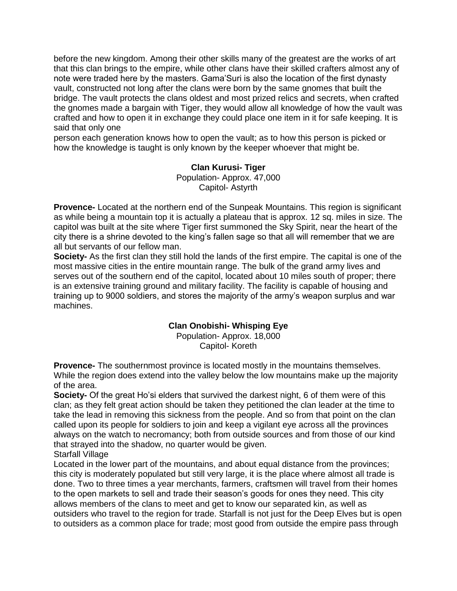before the new kingdom. Among their other skills many of the greatest are the works of art that this clan brings to the empire, while other clans have their skilled crafters almost any of note were traded here by the masters. Gama'Suri is also the location of the first dynasty vault, constructed not long after the clans were born by the same gnomes that built the bridge. The vault protects the clans oldest and most prized relics and secrets, when crafted the gnomes made a bargain with Tiger, they would allow all knowledge of how the vault was crafted and how to open it in exchange they could place one item in it for safe keeping. It is said that only one

person each generation knows how to open the vault; as to how this person is picked or how the knowledge is taught is only known by the keeper whoever that might be.

## **Clan Kurusi- Tiger** Population- Approx. 47,000 Capitol- Astyrth

**Provence-** Located at the northern end of the Sunpeak Mountains. This region is significant as while being a mountain top it is actually a plateau that is approx. 12 sq. miles in size. The capitol was built at the site where Tiger first summoned the Sky Spirit, near the heart of the city there is a shrine devoted to the king's fallen sage so that all will remember that we are all but servants of our fellow man.

**Society-** As the first clan they still hold the lands of the first empire. The capital is one of the most massive cities in the entire mountain range. The bulk of the grand army lives and serves out of the southern end of the capitol, located about 10 miles south of proper; there is an extensive training ground and military facility. The facility is capable of housing and training up to 9000 soldiers, and stores the majority of the army's weapon surplus and war machines.

# **Clan Onobishi- Whisping Eye**

Population- Approx. 18,000 Capitol- Koreth

**Provence-** The southernmost province is located mostly in the mountains themselves. While the region does extend into the valley below the low mountains make up the majority of the area.

**Society-** Of the great Ho'si elders that survived the darkest night, 6 of them were of this clan; as they felt great action should be taken they petitioned the clan leader at the time to take the lead in removing this sickness from the people. And so from that point on the clan called upon its people for soldiers to join and keep a vigilant eye across all the provinces always on the watch to necromancy; both from outside sources and from those of our kind that strayed into the shadow, no quarter would be given. Starfall Village

Located in the lower part of the mountains, and about equal distance from the provinces; this city is moderately populated but still very large, it is the place where almost all trade is done. Two to three times a year merchants, farmers, craftsmen will travel from their homes to the open markets to sell and trade their season's goods for ones they need. This city allows members of the clans to meet and get to know our separated kin, as well as outsiders who travel to the region for trade. Starfall is not just for the Deep Elves but is open to outsiders as a common place for trade; most good from outside the empire pass through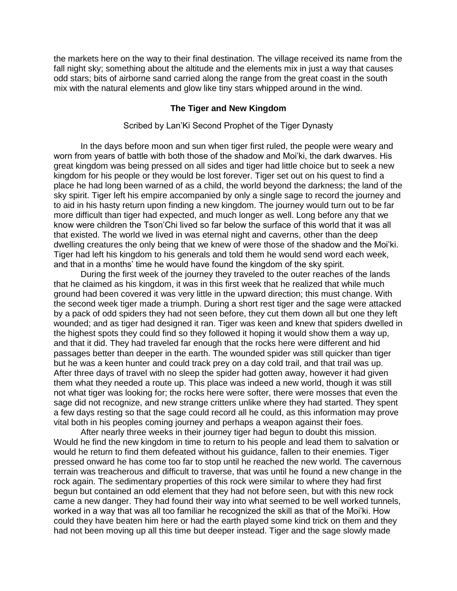the markets here on the way to their final destination. The village received its name from the fall night sky; something about the altitude and the elements mix in just a way that causes odd stars; bits of airborne sand carried along the range from the great coast in the south mix with the natural elements and glow like tiny stars whipped around in the wind.

## **The Tiger and New Kingdom**

## Scribed by Lan'Ki Second Prophet of the Tiger Dynasty

In the days before moon and sun when tiger first ruled, the people were weary and worn from years of battle with both those of the shadow and Moi'ki, the dark dwarves. His great kingdom was being pressed on all sides and tiger had little choice but to seek a new kingdom for his people or they would be lost forever. Tiger set out on his quest to find a place he had long been warned of as a child, the world beyond the darkness; the land of the sky spirit. Tiger left his empire accompanied by only a single sage to record the journey and to aid in his hasty return upon finding a new kingdom. The journey would turn out to be far more difficult than tiger had expected, and much longer as well. Long before any that we know were children the Tson'Chi lived so far below the surface of this world that it was all that existed. The world we lived in was eternal night and caverns, other than the deep dwelling creatures the only being that we knew of were those of the shadow and the Moi'ki. Tiger had left his kingdom to his generals and told them he would send word each week, and that in a months' time he would have found the kingdom of the sky spirit.

During the first week of the journey they traveled to the outer reaches of the lands that he claimed as his kingdom, it was in this first week that he realized that while much ground had been covered it was very little in the upward direction; this must change. With the second week tiger made a triumph. During a short rest tiger and the sage were attacked by a pack of odd spiders they had not seen before, they cut them down all but one they left wounded; and as tiger had designed it ran. Tiger was keen and knew that spiders dwelled in the highest spots they could find so they followed it hoping it would show them a way up, and that it did. They had traveled far enough that the rocks here were different and hid passages better than deeper in the earth. The wounded spider was still quicker than tiger but he was a keen hunter and could track prey on a day cold trail, and that trail was up. After three days of travel with no sleep the spider had gotten away, however it had given them what they needed a route up. This place was indeed a new world, though it was still not what tiger was looking for; the rocks here were softer, there were mosses that even the sage did not recognize, and new strange critters unlike where they had started. They spent a few days resting so that the sage could record all he could, as this information may prove vital both in his peoples coming journey and perhaps a weapon against their foes.

After nearly three weeks in their journey tiger had begun to doubt this mission. Would he find the new kingdom in time to return to his people and lead them to salvation or would he return to find them defeated without his guidance, fallen to their enemies. Tiger pressed onward he has come too far to stop until he reached the new world. The cavernous terrain was treacherous and difficult to traverse, that was until he found a new change in the rock again. The sedimentary properties of this rock were similar to where they had first begun but contained an odd element that they had not before seen, but with this new rock came a new danger. They had found their way into what seemed to be well worked tunnels, worked in a way that was all too familiar he recognized the skill as that of the Moi'ki. How could they have beaten him here or had the earth played some kind trick on them and they had not been moving up all this time but deeper instead. Tiger and the sage slowly made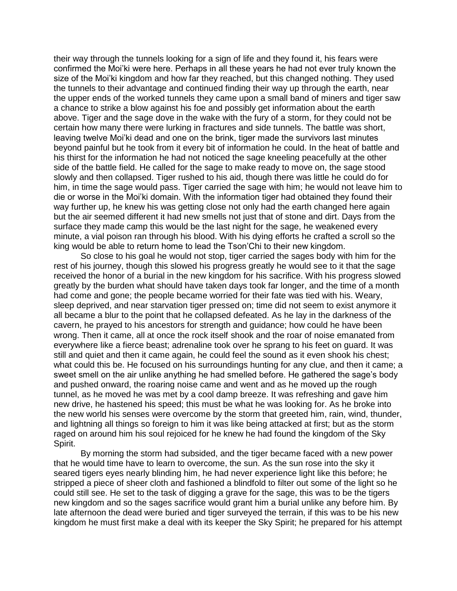their way through the tunnels looking for a sign of life and they found it, his fears were confirmed the Moi'ki were here. Perhaps in all these years he had not ever truly known the size of the Moi'ki kingdom and how far they reached, but this changed nothing. They used the tunnels to their advantage and continued finding their way up through the earth, near the upper ends of the worked tunnels they came upon a small band of miners and tiger saw a chance to strike a blow against his foe and possibly get information about the earth above. Tiger and the sage dove in the wake with the fury of a storm, for they could not be certain how many there were lurking in fractures and side tunnels. The battle was short, leaving twelve Moi'ki dead and one on the brink, tiger made the survivors last minutes beyond painful but he took from it every bit of information he could. In the heat of battle and his thirst for the information he had not noticed the sage kneeling peacefully at the other side of the battle field. He called for the sage to make ready to move on, the sage stood slowly and then collapsed. Tiger rushed to his aid, though there was little he could do for him, in time the sage would pass. Tiger carried the sage with him; he would not leave him to die or worse in the Moi'ki domain. With the information tiger had obtained they found their way further up, he knew his was getting close not only had the earth changed here again but the air seemed different it had new smells not just that of stone and dirt. Days from the surface they made camp this would be the last night for the sage, he weakened every minute, a vial poison ran through his blood. With his dying efforts he crafted a scroll so the king would be able to return home to lead the Tson'Chi to their new kingdom.

So close to his goal he would not stop, tiger carried the sages body with him for the rest of his journey, though this slowed his progress greatly he would see to it that the sage received the honor of a burial in the new kingdom for his sacrifice. With his progress slowed greatly by the burden what should have taken days took far longer, and the time of a month had come and gone; the people became worried for their fate was tied with his. Weary, sleep deprived, and near starvation tiger pressed on; time did not seem to exist anymore it all became a blur to the point that he collapsed defeated. As he lay in the darkness of the cavern, he prayed to his ancestors for strength and guidance; how could he have been wrong. Then it came, all at once the rock itself shook and the roar of noise emanated from everywhere like a fierce beast; adrenaline took over he sprang to his feet on guard. It was still and quiet and then it came again, he could feel the sound as it even shook his chest; what could this be. He focused on his surroundings hunting for any clue, and then it came; a sweet smell on the air unlike anything he had smelled before. He gathered the sage's body and pushed onward, the roaring noise came and went and as he moved up the rough tunnel, as he moved he was met by a cool damp breeze. It was refreshing and gave him new drive, he hastened his speed; this must be what he was looking for. As he broke into the new world his senses were overcome by the storm that greeted him, rain, wind, thunder, and lightning all things so foreign to him it was like being attacked at first; but as the storm raged on around him his soul rejoiced for he knew he had found the kingdom of the Sky Spirit.

By morning the storm had subsided, and the tiger became faced with a new power that he would time have to learn to overcome, the sun. As the sun rose into the sky it seared tigers eyes nearly blinding him, he had never experience light like this before; he stripped a piece of sheer cloth and fashioned a blindfold to filter out some of the light so he could still see. He set to the task of digging a grave for the sage, this was to be the tigers new kingdom and so the sages sacrifice would grant him a burial unlike any before him. By late afternoon the dead were buried and tiger surveyed the terrain, if this was to be his new kingdom he must first make a deal with its keeper the Sky Spirit; he prepared for his attempt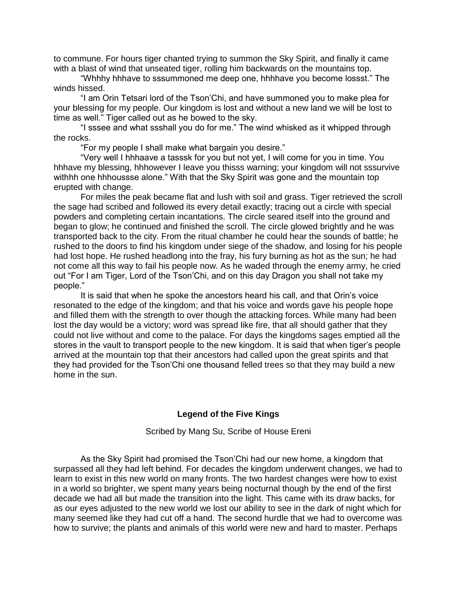to commune. For hours tiger chanted trying to summon the Sky Spirit, and finally it came with a blast of wind that unseated tiger, rolling him backwards on the mountains top.

"Whhhy hhhave to sssummoned me deep one, hhhhave you become lossst." The winds hissed.

"I am Orin Tetsari lord of the Tson'Chi, and have summoned you to make plea for your blessing for my people. Our kingdom is lost and without a new land we will be lost to time as well." Tiger called out as he bowed to the sky.

"I sssee and what ssshall you do for me." The wind whisked as it whipped through the rocks.

"For my people I shall make what bargain you desire."

"Very well I hhhaave a tasssk for you but not yet, I will come for you in time. You hhhave my blessing, hhhowever I leave you thisss warning; your kingdom will not sssurvive withhh one hhhoussse alone." With that the Sky Spirit was gone and the mountain top erupted with change.

For miles the peak became flat and lush with soil and grass. Tiger retrieved the scroll the sage had scribed and followed its every detail exactly; tracing out a circle with special powders and completing certain incantations. The circle seared itself into the ground and began to glow; he continued and finished the scroll. The circle glowed brightly and he was transported back to the city. From the ritual chamber he could hear the sounds of battle; he rushed to the doors to find his kingdom under siege of the shadow, and losing for his people had lost hope. He rushed headlong into the fray, his fury burning as hot as the sun; he had not come all this way to fail his people now. As he waded through the enemy army, he cried out "For I am Tiger, Lord of the Tson'Chi, and on this day Dragon you shall not take my people."

It is said that when he spoke the ancestors heard his call, and that Orin's voice resonated to the edge of the kingdom; and that his voice and words gave his people hope and filled them with the strength to over though the attacking forces. While many had been lost the day would be a victory; word was spread like fire, that all should gather that they could not live without and come to the palace. For days the kingdoms sages emptied all the stores in the vault to transport people to the new kingdom. It is said that when tiger's people arrived at the mountain top that their ancestors had called upon the great spirits and that they had provided for the Tson'Chi one thousand felled trees so that they may build a new home in the sun.

### **Legend of the Five Kings**

Scribed by Mang Su, Scribe of House Ereni

As the Sky Spirit had promised the Tson'Chi had our new home, a kingdom that surpassed all they had left behind. For decades the kingdom underwent changes, we had to learn to exist in this new world on many fronts. The two hardest changes were how to exist in a world so brighter, we spent many years being nocturnal though by the end of the first decade we had all but made the transition into the light. This came with its draw backs, for as our eyes adjusted to the new world we lost our ability to see in the dark of night which for many seemed like they had cut off a hand. The second hurdle that we had to overcome was how to survive; the plants and animals of this world were new and hard to master. Perhaps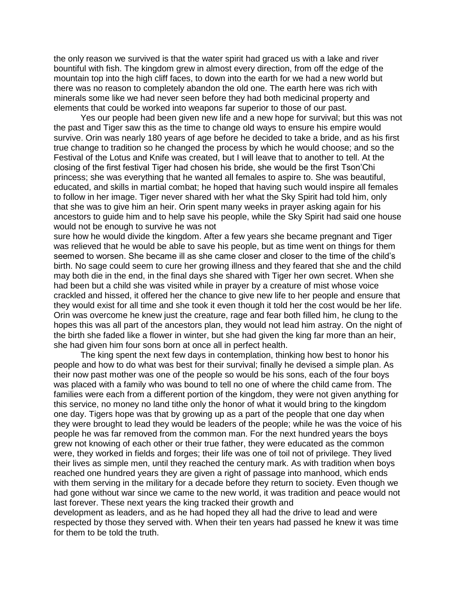the only reason we survived is that the water spirit had graced us with a lake and river bountiful with fish. The kingdom grew in almost every direction, from off the edge of the mountain top into the high cliff faces, to down into the earth for we had a new world but there was no reason to completely abandon the old one. The earth here was rich with minerals some like we had never seen before they had both medicinal property and elements that could be worked into weapons far superior to those of our past.

Yes our people had been given new life and a new hope for survival; but this was not the past and Tiger saw this as the time to change old ways to ensure his empire would survive. Orin was nearly 180 years of age before he decided to take a bride, and as his first true change to tradition so he changed the process by which he would choose; and so the Festival of the Lotus and Knife was created, but I will leave that to another to tell. At the closing of the first festival Tiger had chosen his bride, she would be the first Tson'Chi princess; she was everything that he wanted all females to aspire to. She was beautiful, educated, and skills in martial combat; he hoped that having such would inspire all females to follow in her image. Tiger never shared with her what the Sky Spirit had told him, only that she was to give him an heir. Orin spent many weeks in prayer asking again for his ancestors to guide him and to help save his people, while the Sky Spirit had said one house would not be enough to survive he was not

sure how he would divide the kingdom. After a few years she became pregnant and Tiger was relieved that he would be able to save his people, but as time went on things for them seemed to worsen. She became ill as she came closer and closer to the time of the child's birth. No sage could seem to cure her growing illness and they feared that she and the child may both die in the end, in the final days she shared with Tiger her own secret. When she had been but a child she was visited while in prayer by a creature of mist whose voice crackled and hissed, it offered her the chance to give new life to her people and ensure that they would exist for all time and she took it even though it told her the cost would be her life. Orin was overcome he knew just the creature, rage and fear both filled him, he clung to the hopes this was all part of the ancestors plan, they would not lead him astray. On the night of the birth she faded like a flower in winter, but she had given the king far more than an heir, she had given him four sons born at once all in perfect health.

The king spent the next few days in contemplation, thinking how best to honor his people and how to do what was best for their survival; finally he devised a simple plan. As their now past mother was one of the people so would be his sons, each of the four boys was placed with a family who was bound to tell no one of where the child came from. The families were each from a different portion of the kingdom, they were not given anything for this service, no money no land tithe only the honor of what it would bring to the kingdom one day. Tigers hope was that by growing up as a part of the people that one day when they were brought to lead they would be leaders of the people; while he was the voice of his people he was far removed from the common man. For the next hundred years the boys grew not knowing of each other or their true father, they were educated as the common were, they worked in fields and forges; their life was one of toil not of privilege. They lived their lives as simple men, until they reached the century mark. As with tradition when boys reached one hundred years they are given a right of passage into manhood, which ends with them serving in the military for a decade before they return to society. Even though we had gone without war since we came to the new world, it was tradition and peace would not last forever. These next years the king tracked their growth and

development as leaders, and as he had hoped they all had the drive to lead and were respected by those they served with. When their ten years had passed he knew it was time for them to be told the truth.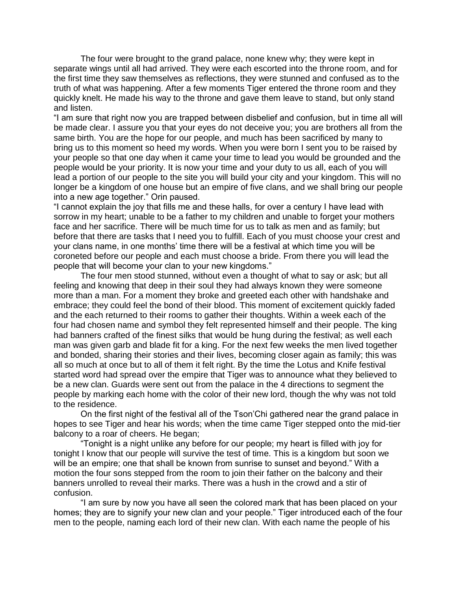The four were brought to the grand palace, none knew why; they were kept in separate wings until all had arrived. They were each escorted into the throne room, and for the first time they saw themselves as reflections, they were stunned and confused as to the truth of what was happening. After a few moments Tiger entered the throne room and they quickly knelt. He made his way to the throne and gave them leave to stand, but only stand and listen.

"I am sure that right now you are trapped between disbelief and confusion, but in time all will be made clear. I assure you that your eyes do not deceive you; you are brothers all from the same birth. You are the hope for our people, and much has been sacrificed by many to bring us to this moment so heed my words. When you were born I sent you to be raised by your people so that one day when it came your time to lead you would be grounded and the people would be your priority. It is now your time and your duty to us all, each of you will lead a portion of our people to the site you will build your city and your kingdom. This will no longer be a kingdom of one house but an empire of five clans, and we shall bring our people into a new age together." Orin paused.

"I cannot explain the joy that fills me and these halls, for over a century I have lead with sorrow in my heart; unable to be a father to my children and unable to forget your mothers face and her sacrifice. There will be much time for us to talk as men and as family; but before that there are tasks that I need you to fulfill. Each of you must choose your crest and your clans name, in one months' time there will be a festival at which time you will be coroneted before our people and each must choose a bride. From there you will lead the people that will become your clan to your new kingdoms."

The four men stood stunned, without even a thought of what to say or ask; but all feeling and knowing that deep in their soul they had always known they were someone more than a man. For a moment they broke and greeted each other with handshake and embrace; they could feel the bond of their blood. This moment of excitement quickly faded and the each returned to their rooms to gather their thoughts. Within a week each of the four had chosen name and symbol they felt represented himself and their people. The king had banners crafted of the finest silks that would be hung during the festival; as well each man was given garb and blade fit for a king. For the next few weeks the men lived together and bonded, sharing their stories and their lives, becoming closer again as family; this was all so much at once but to all of them it felt right. By the time the Lotus and Knife festival started word had spread over the empire that Tiger was to announce what they believed to be a new clan. Guards were sent out from the palace in the 4 directions to segment the people by marking each home with the color of their new lord, though the why was not told to the residence.

On the first night of the festival all of the Tson'Chi gathered near the grand palace in hopes to see Tiger and hear his words; when the time came Tiger stepped onto the mid-tier balcony to a roar of cheers. He began;

"Tonight is a night unlike any before for our people; my heart is filled with joy for tonight I know that our people will survive the test of time. This is a kingdom but soon we will be an empire; one that shall be known from sunrise to sunset and beyond." With a motion the four sons stepped from the room to join their father on the balcony and their banners unrolled to reveal their marks. There was a hush in the crowd and a stir of confusion.

"I am sure by now you have all seen the colored mark that has been placed on your homes; they are to signify your new clan and your people." Tiger introduced each of the four men to the people, naming each lord of their new clan. With each name the people of his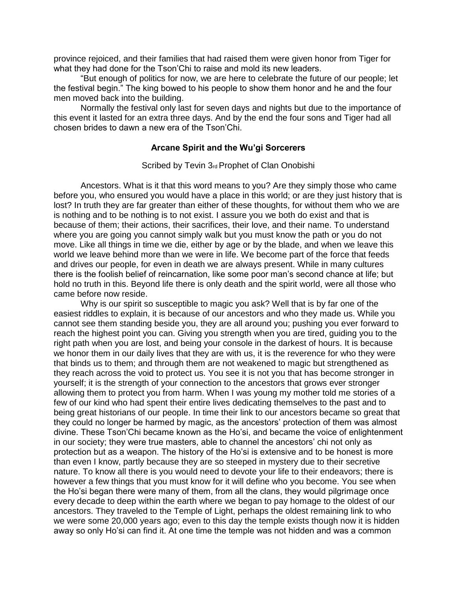province rejoiced, and their families that had raised them were given honor from Tiger for what they had done for the Tson'Chi to raise and mold its new leaders.

"But enough of politics for now, we are here to celebrate the future of our people; let the festival begin." The king bowed to his people to show them honor and he and the four men moved back into the building.

Normally the festival only last for seven days and nights but due to the importance of this event it lasted for an extra three days. And by the end the four sons and Tiger had all chosen brides to dawn a new era of the Tson'Chi.

## **Arcane Spirit and the Wu'gi Sorcerers**

### Scribed by Tevin 3rd Prophet of Clan Onobishi

Ancestors. What is it that this word means to you? Are they simply those who came before you, who ensured you would have a place in this world; or are they just history that is lost? In truth they are far greater than either of these thoughts, for without them who we are is nothing and to be nothing is to not exist. I assure you we both do exist and that is because of them; their actions, their sacrifices, their love, and their name. To understand where you are going you cannot simply walk but you must know the path or you do not move. Like all things in time we die, either by age or by the blade, and when we leave this world we leave behind more than we were in life. We become part of the force that feeds and drives our people, for even in death we are always present. While in many cultures there is the foolish belief of reincarnation, like some poor man's second chance at life; but hold no truth in this. Beyond life there is only death and the spirit world, were all those who came before now reside.

Why is our spirit so susceptible to magic you ask? Well that is by far one of the easiest riddles to explain, it is because of our ancestors and who they made us. While you cannot see them standing beside you, they are all around you; pushing you ever forward to reach the highest point you can. Giving you strength when you are tired, guiding you to the right path when you are lost, and being your console in the darkest of hours. It is because we honor them in our daily lives that they are with us, it is the reverence for who they were that binds us to them; and through them are not weakened to magic but strengthened as they reach across the void to protect us. You see it is not you that has become stronger in yourself; it is the strength of your connection to the ancestors that grows ever stronger allowing them to protect you from harm. When I was young my mother told me stories of a few of our kind who had spent their entire lives dedicating themselves to the past and to being great historians of our people. In time their link to our ancestors became so great that they could no longer be harmed by magic, as the ancestors' protection of them was almost divine. These Tson'Chi became known as the Ho'si, and became the voice of enlightenment in our society; they were true masters, able to channel the ancestors' chi not only as protection but as a weapon. The history of the Ho'si is extensive and to be honest is more than even I know, partly because they are so steeped in mystery due to their secretive nature. To know all there is you would need to devote your life to their endeavors; there is however a few things that you must know for it will define who you become. You see when the Ho'si began there were many of them, from all the clans, they would pilgrimage once every decade to deep within the earth where we began to pay homage to the oldest of our ancestors. They traveled to the Temple of Light, perhaps the oldest remaining link to who we were some 20,000 years ago; even to this day the temple exists though now it is hidden away so only Ho'si can find it. At one time the temple was not hidden and was a common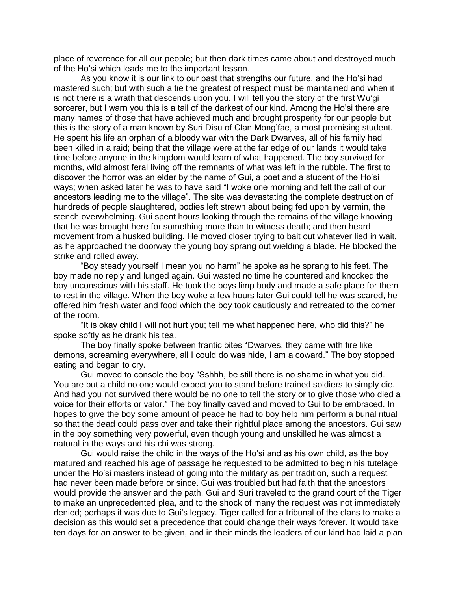place of reverence for all our people; but then dark times came about and destroyed much of the Ho'si which leads me to the important lesson.

As you know it is our link to our past that strengths our future, and the Ho'si had mastered such; but with such a tie the greatest of respect must be maintained and when it is not there is a wrath that descends upon you. I will tell you the story of the first Wu'gi sorcerer, but I warn you this is a tail of the darkest of our kind. Among the Ho'si there are many names of those that have achieved much and brought prosperity for our people but this is the story of a man known by Suri Disu of Clan Mong'fae, a most promising student. He spent his life an orphan of a bloody war with the Dark Dwarves, all of his family had been killed in a raid; being that the village were at the far edge of our lands it would take time before anyone in the kingdom would learn of what happened. The boy survived for months, wild almost feral living off the remnants of what was left in the rubble. The first to discover the horror was an elder by the name of Gui, a poet and a student of the Ho'si ways; when asked later he was to have said "I woke one morning and felt the call of our ancestors leading me to the village". The site was devastating the complete destruction of hundreds of people slaughtered, bodies left strewn about being fed upon by vermin, the stench overwhelming. Gui spent hours looking through the remains of the village knowing that he was brought here for something more than to witness death; and then heard movement from a husked building. He moved closer trying to bait out whatever lied in wait, as he approached the doorway the young boy sprang out wielding a blade. He blocked the strike and rolled away.

"Boy steady yourself I mean you no harm" he spoke as he sprang to his feet. The boy made no reply and lunged again. Gui wasted no time he countered and knocked the boy unconscious with his staff. He took the boys limp body and made a safe place for them to rest in the village. When the boy woke a few hours later Gui could tell he was scared, he offered him fresh water and food which the boy took cautiously and retreated to the corner of the room.

"It is okay child I will not hurt you; tell me what happened here, who did this?" he spoke softly as he drank his tea.

The boy finally spoke between frantic bites "Dwarves, they came with fire like demons, screaming everywhere, all I could do was hide, I am a coward." The boy stopped eating and began to cry.

Gui moved to console the boy "Sshhh, be still there is no shame in what you did. You are but a child no one would expect you to stand before trained soldiers to simply die. And had you not survived there would be no one to tell the story or to give those who died a voice for their efforts or valor." The boy finally caved and moved to Gui to be embraced. In hopes to give the boy some amount of peace he had to boy help him perform a burial ritual so that the dead could pass over and take their rightful place among the ancestors. Gui saw in the boy something very powerful, even though young and unskilled he was almost a natural in the ways and his chi was strong.

Gui would raise the child in the ways of the Ho'si and as his own child, as the boy matured and reached his age of passage he requested to be admitted to begin his tutelage under the Ho'si masters instead of going into the military as per tradition, such a request had never been made before or since. Gui was troubled but had faith that the ancestors would provide the answer and the path. Gui and Suri traveled to the grand court of the Tiger to make an unprecedented plea, and to the shock of many the request was not immediately denied; perhaps it was due to Gui's legacy. Tiger called for a tribunal of the clans to make a decision as this would set a precedence that could change their ways forever. It would take ten days for an answer to be given, and in their minds the leaders of our kind had laid a plan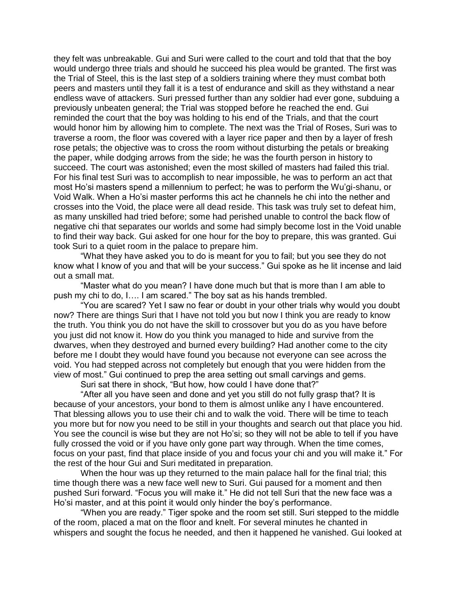they felt was unbreakable. Gui and Suri were called to the court and told that that the boy would undergo three trials and should he succeed his plea would be granted. The first was the Trial of Steel, this is the last step of a soldiers training where they must combat both peers and masters until they fall it is a test of endurance and skill as they withstand a near endless wave of attackers. Suri pressed further than any soldier had ever gone, subduing a previously unbeaten general; the Trial was stopped before he reached the end. Gui reminded the court that the boy was holding to his end of the Trials, and that the court would honor him by allowing him to complete. The next was the Trial of Roses, Suri was to traverse a room, the floor was covered with a layer rice paper and then by a layer of fresh rose petals; the objective was to cross the room without disturbing the petals or breaking the paper, while dodging arrows from the side; he was the fourth person in history to succeed. The court was astonished; even the most skilled of masters had failed this trial. For his final test Suri was to accomplish to near impossible, he was to perform an act that most Ho'si masters spend a millennium to perfect; he was to perform the Wu'gi-shanu, or Void Walk. When a Ho'si master performs this act he channels he chi into the nether and crosses into the Void, the place were all dead reside. This task was truly set to defeat him, as many unskilled had tried before; some had perished unable to control the back flow of negative chi that separates our worlds and some had simply become lost in the Void unable to find their way back. Gui asked for one hour for the boy to prepare, this was granted. Gui took Suri to a quiet room in the palace to prepare him.

"What they have asked you to do is meant for you to fail; but you see they do not know what I know of you and that will be your success." Gui spoke as he lit incense and laid out a small mat.

"Master what do you mean? I have done much but that is more than I am able to push my chi to do, I…. I am scared." The boy sat as his hands trembled.

"You are scared? Yet I saw no fear or doubt in your other trials why would you doubt now? There are things Suri that I have not told you but now I think you are ready to know the truth. You think you do not have the skill to crossover but you do as you have before you just did not know it. How do you think you managed to hide and survive from the dwarves, when they destroyed and burned every building? Had another come to the city before me I doubt they would have found you because not everyone can see across the void. You had stepped across not completely but enough that you were hidden from the view of most." Gui continued to prep the area setting out small carvings and gems.

Suri sat there in shock, "But how, how could I have done that?"

"After all you have seen and done and yet you still do not fully grasp that? It is because of your ancestors, your bond to them is almost unlike any I have encountered. That blessing allows you to use their chi and to walk the void. There will be time to teach you more but for now you need to be still in your thoughts and search out that place you hid. You see the council is wise but they are not Ho'si; so they will not be able to tell if you have fully crossed the void or if you have only gone part way through. When the time comes, focus on your past, find that place inside of you and focus your chi and you will make it." For the rest of the hour Gui and Suri meditated in preparation.

When the hour was up they returned to the main palace hall for the final trial; this time though there was a new face well new to Suri. Gui paused for a moment and then pushed Suri forward. "Focus you will make it." He did not tell Suri that the new face was a Ho'si master, and at this point it would only hinder the boy's performance.

"When you are ready." Tiger spoke and the room set still. Suri stepped to the middle of the room, placed a mat on the floor and knelt. For several minutes he chanted in whispers and sought the focus he needed, and then it happened he vanished. Gui looked at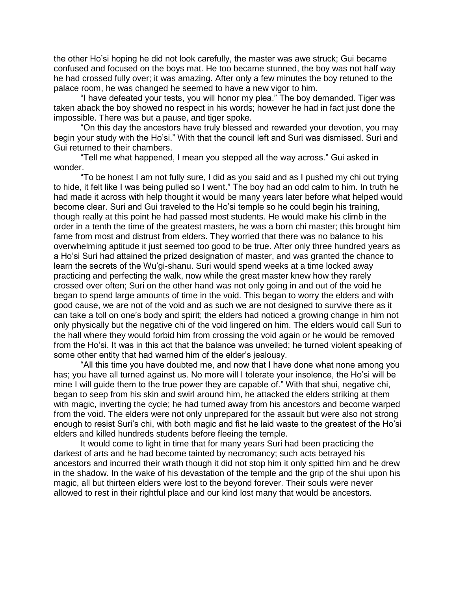the other Ho'si hoping he did not look carefully, the master was awe struck; Gui became confused and focused on the boys mat. He too became stunned, the boy was not half way he had crossed fully over; it was amazing. After only a few minutes the boy retuned to the palace room, he was changed he seemed to have a new vigor to him.

"I have defeated your tests, you will honor my plea." The boy demanded. Tiger was taken aback the boy showed no respect in his words; however he had in fact just done the impossible. There was but a pause, and tiger spoke.

"On this day the ancestors have truly blessed and rewarded your devotion, you may begin your study with the Ho'si." With that the council left and Suri was dismissed. Suri and Gui returned to their chambers.

"Tell me what happened, I mean you stepped all the way across." Gui asked in wonder.

"To be honest I am not fully sure, I did as you said and as I pushed my chi out trying to hide, it felt like I was being pulled so I went." The boy had an odd calm to him. In truth he had made it across with help thought it would be many years later before what helped would become clear. Suri and Gui traveled to the Ho'si temple so he could begin his training, though really at this point he had passed most students. He would make his climb in the order in a tenth the time of the greatest masters, he was a born chi master; this brought him fame from most and distrust from elders. They worried that there was no balance to his overwhelming aptitude it just seemed too good to be true. After only three hundred years as a Ho'si Suri had attained the prized designation of master, and was granted the chance to learn the secrets of the Wu'gi-shanu. Suri would spend weeks at a time locked away practicing and perfecting the walk, now while the great master knew how they rarely crossed over often; Suri on the other hand was not only going in and out of the void he began to spend large amounts of time in the void. This began to worry the elders and with good cause, we are not of the void and as such we are not designed to survive there as it can take a toll on one's body and spirit; the elders had noticed a growing change in him not only physically but the negative chi of the void lingered on him. The elders would call Suri to the hall where they would forbid him from crossing the void again or he would be removed from the Ho'si. It was in this act that the balance was unveiled; he turned violent speaking of some other entity that had warned him of the elder's jealousy.

"All this time you have doubted me, and now that I have done what none among you has; you have all turned against us. No more will I tolerate your insolence, the Ho'si will be mine I will guide them to the true power they are capable of." With that shui, negative chi, began to seep from his skin and swirl around him, he attacked the elders striking at them with magic, inverting the cycle; he had turned away from his ancestors and become warped from the void. The elders were not only unprepared for the assault but were also not strong enough to resist Suri's chi, with both magic and fist he laid waste to the greatest of the Ho'si elders and killed hundreds students before fleeing the temple.

It would come to light in time that for many years Suri had been practicing the darkest of arts and he had become tainted by necromancy; such acts betrayed his ancestors and incurred their wrath though it did not stop him it only spitted him and he drew in the shadow. In the wake of his devastation of the temple and the grip of the shui upon his magic, all but thirteen elders were lost to the beyond forever. Their souls were never allowed to rest in their rightful place and our kind lost many that would be ancestors.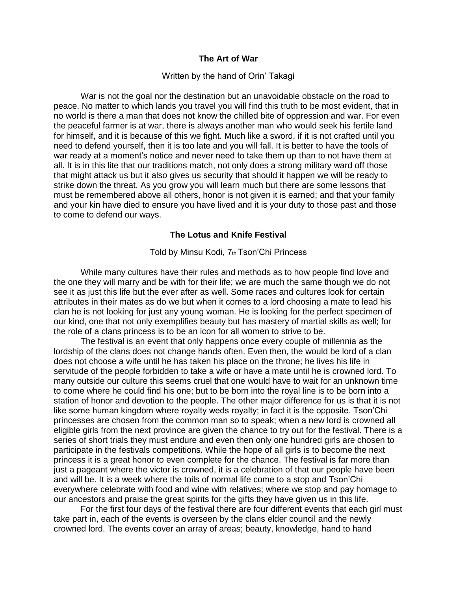### **The Art of War**

#### Written by the hand of Orin' Takagi

War is not the goal nor the destination but an unavoidable obstacle on the road to peace. No matter to which lands you travel you will find this truth to be most evident, that in no world is there a man that does not know the chilled bite of oppression and war. For even the peaceful farmer is at war, there is always another man who would seek his fertile land for himself, and it is because of this we fight. Much like a sword, if it is not crafted until you need to defend yourself, then it is too late and you will fall. It is better to have the tools of war ready at a moment's notice and never need to take them up than to not have them at all. It is in this lite that our traditions match, not only does a strong military ward off those that might attack us but it also gives us security that should it happen we will be ready to strike down the threat. As you grow you will learn much but there are some lessons that must be remembered above all others, honor is not given it is earned; and that your family and your kin have died to ensure you have lived and it is your duty to those past and those to come to defend our ways.

#### **The Lotus and Knife Festival**

### Told by Minsu Kodi, 7th Tson'Chi Princess

While many cultures have their rules and methods as to how people find love and the one they will marry and be with for their life; we are much the same though we do not see it as just this life but the ever after as well. Some races and cultures look for certain attributes in their mates as do we but when it comes to a lord choosing a mate to lead his clan he is not looking for just any young woman. He is looking for the perfect specimen of our kind, one that not only exemplifies beauty but has mastery of martial skills as well; for the role of a clans princess is to be an icon for all women to strive to be.

The festival is an event that only happens once every couple of millennia as the lordship of the clans does not change hands often. Even then, the would be lord of a clan does not choose a wife until he has taken his place on the throne; he lives his life in servitude of the people forbidden to take a wife or have a mate until he is crowned lord. To many outside our culture this seems cruel that one would have to wait for an unknown time to come where he could find his one; but to be born into the royal line is to be born into a station of honor and devotion to the people. The other major difference for us is that it is not like some human kingdom where royalty weds royalty; in fact it is the opposite. Tson'Chi princesses are chosen from the common man so to speak; when a new lord is crowned all eligible girls from the next province are given the chance to try out for the festival. There is a series of short trials they must endure and even then only one hundred girls are chosen to participate in the festivals competitions. While the hope of all girls is to become the next princess it is a great honor to even complete for the chance. The festival is far more than just a pageant where the victor is crowned, it is a celebration of that our people have been and will be. It is a week where the toils of normal life come to a stop and Tson'Chi everywhere celebrate with food and wine with relatives; where we stop and pay homage to our ancestors and praise the great spirits for the gifts they have given us in this life.

For the first four days of the festival there are four different events that each girl must take part in, each of the events is overseen by the clans elder council and the newly crowned lord. The events cover an array of areas; beauty, knowledge, hand to hand